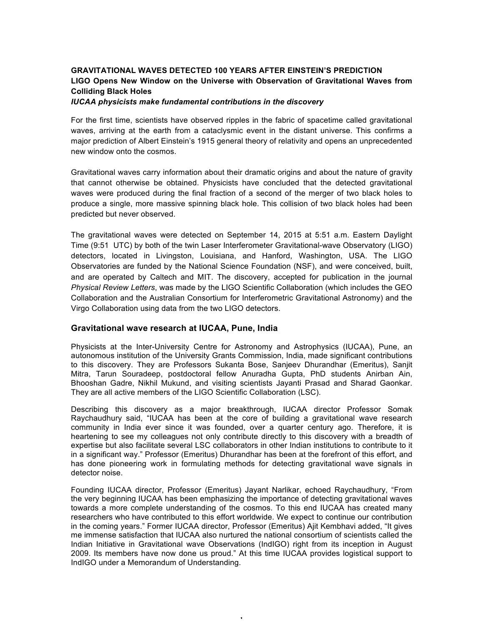## **GRAVITATIONAL WAVES DETECTED 100 YEARS AFTER EINSTEIN'S PREDICTION LIGO Opens New Window on the Universe with Observation of Gravitational Waves from Colliding Black Holes**

*IUCAA physicists make fundamental contributions in the discovery*

For the first time, scientists have observed ripples in the fabric of spacetime called gravitational waves, arriving at the earth from a cataclysmic event in the distant universe. This confirms a major prediction of Albert Einstein's 1915 general theory of relativity and opens an unprecedented new window onto the cosmos.

Gravitational waves carry information about their dramatic origins and about the nature of gravity that cannot otherwise be obtained. Physicists have concluded that the detected gravitational waves were produced during the final fraction of a second of the merger of two black holes to produce a single, more massive spinning black hole. This collision of two black holes had been predicted but never observed.

The gravitational waves were detected on September 14, 2015 at 5:51 a.m. Eastern Daylight Time (9:51 UTC) by both of the twin Laser Interferometer Gravitational-wave Observatory (LIGO) detectors, located in Livingston, Louisiana, and Hanford, Washington, USA. The LIGO Observatories are funded by the National Science Foundation (NSF), and were conceived, built, and are operated by Caltech and MIT. The discovery, accepted for publication in the journal *Physical Review Letters*, was made by the LIGO Scientific Collaboration (which includes the GEO Collaboration and the Australian Consortium for Interferometric Gravitational Astronomy) and the Virgo Collaboration using data from the two LIGO detectors.

## **Gravitational wave research at IUCAA, Pune, India**

Physicists at the Inter-University Centre for Astronomy and Astrophysics (IUCAA), Pune, an autonomous institution of the University Grants Commission, India, made significant contributions to this discovery. They are Professors Sukanta Bose, Sanjeev Dhurandhar (Emeritus), Sanjit Mitra, Tarun Souradeep, postdoctoral fellow Anuradha Gupta, PhD students Anirban Ain, Bhooshan Gadre, Nikhil Mukund, and visiting scientists Jayanti Prasad and Sharad Gaonkar. They are all active members of the LIGO Scientific Collaboration (LSC).

Describing this discovery as a major breakthrough, IUCAA director Professor Somak Raychaudhury said, "IUCAA has been at the core of building a gravitational wave research community in India ever since it was founded, over a quarter century ago. Therefore, it is heartening to see my colleagues not only contribute directly to this discovery with a breadth of expertise but also facilitate several LSC collaborators in other Indian institutions to contribute to it in a significant way." Professor (Emeritus) Dhurandhar has been at the forefront of this effort, and has done pioneering work in formulating methods for detecting gravitational wave signals in detector noise.

Founding IUCAA director, Professor (Emeritus) Jayant Narlikar, echoed Raychaudhury, "From the very beginning IUCAA has been emphasizing the importance of detecting gravitational waves towards a more complete understanding of the cosmos. To this end IUCAA has created many researchers who have contributed to this effort worldwide. We expect to continue our contribution in the coming years." Former IUCAA director, Professor (Emeritus) Ajit Kembhavi added, "It gives me immense satisfaction that IUCAA also nurtured the national consortium of scientists called the Indian Initiative in Gravitational wave Observations (IndIGO) right from its inception in August 2009. Its members have now done us proud." At this time IUCAA provides logistical support to IndIGO under a Memorandum of Understanding.

1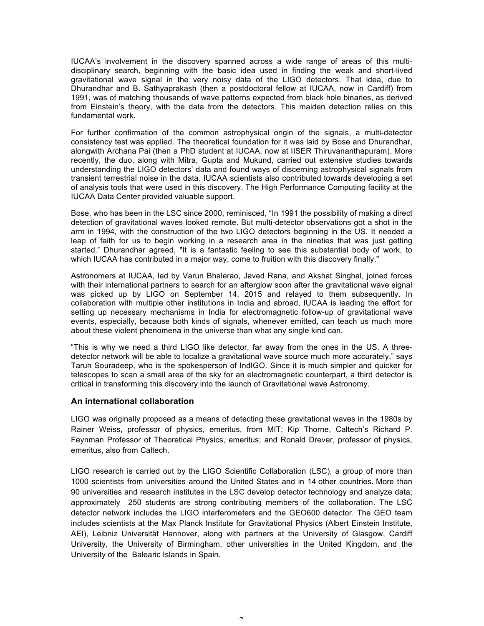IUCAA's involvement in the discovery spanned across a wide range of areas of this multidisciplinary search, beginning with the basic idea used in finding the weak and short-lived gravitational wave signal in the very noisy data of the LIGO detectors. That idea, due to Dhurandhar and B. Sathyaprakash (then a postdoctoral fellow at IUCAA, now in Cardiff) from 1991, was of matching thousands of wave patterns expected from black hole binaries, as derived from Einstein's theory, with the data from the detectors. This maiden detection relies on this fundamental work.

For further confirmation of the common astrophysical origin of the signals, a multi-detector consistency test was applied. The theoretical foundation for it was laid by Bose and Dhurandhar, alongwith Archana Pai (then a PhD student at IUCAA, now at IISER Thiruvananthapuram). More recently, the duo, along with Mitra, Gupta and Mukund, carried out extensive studies towards understanding the LIGO detectors' data and found ways of discerning astrophysical signals from transient terrestrial noise in the data. IUCAA scientists also contributed towards developing a set of analysis tools that were used in this discovery. The High Performance Computing facility at the IUCAA Data Center provided valuable support.

Bose, who has been in the LSC since 2000, reminisced, "In 1991 the possibility of making a direct detection of gravitational waves looked remote. But multi-detector observations got a shot in the arm in 1994, with the construction of the two LIGO detectors beginning in the US. It needed a leap of faith for us to begin working in a research area in the nineties that was just getting started." Dhurandhar agreed, "It is a fantastic feeling to see this substantial body of work, to which IUCAA has contributed in a major way, come to fruition with this discovery finally."

Astronomers at IUCAA, led by Varun Bhalerao, Javed Rana, and Akshat Singhal, joined forces with their international partners to search for an afterglow soon after the gravitational wave signal was picked up by LIGO on September 14, 2015 and relayed to them subsequently. In collaboration with multiple other institutions in India and abroad, IUCAA is leading the effort for setting up necessary mechanisms in India for electromagnetic follow-up of gravitational wave events, especially, because both kinds of signals, whenever emitted, can teach us much more about these violent phenomena in the universe than what any single kind can.

"This is why we need a third LIGO like detector, far away from the ones in the US. A threedetector network will be able to localize a gravitational wave source much more accurately," says Tarun Souradeep, who is the spokesperson of IndIGO. Since it is much simpler and quicker for telescopes to scan a small area of the sky for an electromagnetic counterpart, a third detector is critical in transforming this discovery into the launch of Gravitational wave Astronomy.

## **An international collaboration**

LIGO was originally proposed as a means of detecting these gravitational waves in the 1980s by Rainer Weiss, professor of physics, emeritus, from MIT; Kip Thorne, Caltech's Richard P. Feynman Professor of Theoretical Physics, emeritus; and Ronald Drever, professor of physics, emeritus, also from Caltech.

LIGO research is carried out by the LIGO Scientific Collaboration (LSC), a group of more than 1000 scientists from universities around the United States and in 14 other countries. More than 90 universities and research institutes in the LSC develop detector technology and analyze data; approximately 250 students are strong contributing members of the collaboration. The LSC detector network includes the LIGO interferometers and the GEO600 detector. The GEO team includes scientists at the Max Planck Institute for Gravitational Physics (Albert Einstein Institute, AEI), Leibniz Universität Hannover, along with partners at the University of Glasgow, Cardiff University, the University of Birmingham, other universities in the United Kingdom, and the University of the Balearic Islands in Spain.